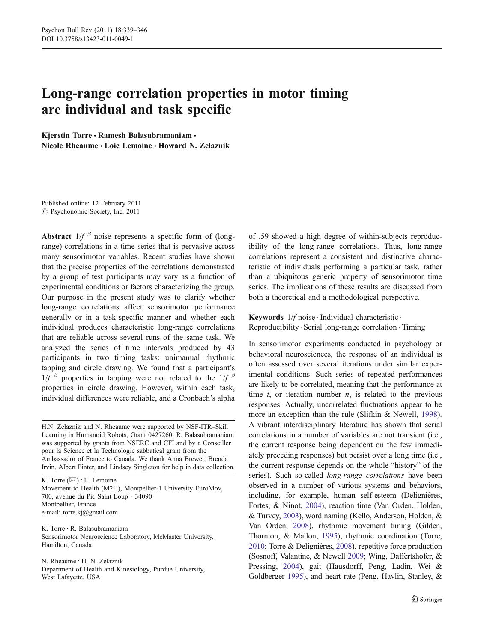# Long-range correlation properties in motor timing are individual and task specific

Kjerstin Torre · Ramesh Balasubramaniam · Nicole Rheaume · Loic Lemoine · Howard N. Zelaznik

Published online: 12 February 2011  $\circ$  Psychonomic Society, Inc. 2011

Abstract  $1/f^{\beta}$  noise represents a specific form of (longrange) correlations in a time series that is pervasive across many sensorimotor variables. Recent studies have shown that the precise properties of the correlations demonstrated by a group of test participants may vary as a function of experimental conditions or factors characterizing the group. Our purpose in the present study was to clarify whether long-range correlations affect sensorimotor performance generally or in a task-specific manner and whether each individual produces characteristic long-range correlations that are reliable across several runs of the same task. We analyzed the series of time intervals produced by 43 participants in two timing tasks: unimanual rhythmic tapping and circle drawing. We found that a participant's  $1/f$ <sup>β</sup> properties in tapping were not related to the  $1/f$ <sup>β</sup> properties in circle drawing. However, within each task, individual differences were reliable, and a Cronbach's alpha

K. Torre  $(\boxtimes) \cdot$  L. Lemoine Movement to Health (M2H), Montpellier-1 University EuroMov, 700, avenue du Pic Saint Loup - 34090 Montpellier, France e-mail: torre.kj@gmail.com

K. Torre : R. Balasubramaniam Sensorimotor Neuroscience Laboratory, McMaster University, Hamilton, Canada

N. Rheaume : H. N. Zelaznik Department of Health and Kinesiology, Purdue University, West Lafayette, USA

of .59 showed a high degree of within-subjects reproducibility of the long-range correlations. Thus, long-range correlations represent a consistent and distinctive characteristic of individuals performing a particular task, rather than a ubiquitous generic property of sensorimotor time series. The implications of these results are discussed from both a theoretical and a methodological perspective.

Keywords  $1/f$  noise · Individual characteristic · Reproducibility . Serial long-range correlation . Timing

In sensorimotor experiments conducted in psychology or behavioral neurosciences, the response of an individual is often assessed over several iterations under similar experimental conditions. Such series of repeated performances are likely to be correlated, meaning that the performance at time  $t$ , or iteration number  $n$ , is related to the previous responses. Actually, uncorrelated fluctuations appear to be more an exception than the rule (Slifkin & Newell, [1998\)](#page-7-0). A vibrant interdisciplinary literature has shown that serial correlations in a number of variables are not transient (i.e., the current response being dependent on the few immediately preceding responses) but persist over a long time (i.e., the current response depends on the whole "history" of the series). Such so-called *long-range correlations* have been observed in a number of various systems and behaviors, including, for example, human self-esteem (Delignières, Fortes, & Ninot, [2004\)](#page-6-0), reaction time (Van Orden, Holden, & Turvey, [2003\)](#page-7-0), word naming (Kello, Anderson, Holden, & Van Orden, [2008](#page-7-0)), rhythmic movement timing (Gilden, Thornton, & Mallon, [1995](#page-6-0)), rhythmic coordination (Torre, [2010;](#page-7-0) Torre & Delignières, [2008](#page-7-0)), repetitive force production (Sosnoff, Valantine, & Newell [2009;](#page-7-0) Wing, Daffertshofer, & Pressing, [2004\)](#page-7-0), gait (Hausdorff, Peng, Ladin, Wei & Goldberger [1995](#page-6-0)), and heart rate (Peng, Havlin, Stanley, &

H.N. Zelaznik and N. Rheaume were supported by NSF-ITR–Skill Learning in Humanoid Robots, Grant 0427260. R. Balasubramaniam was supported by grants from NSERC and CFI and by a Conseiller pour la Science et la Technologie sabbatical grant from the Ambassador of France to Canada. We thank Anna Brewer, Brenda Irvin, Albert Pinter, and Lindsey Singleton for help in data collection.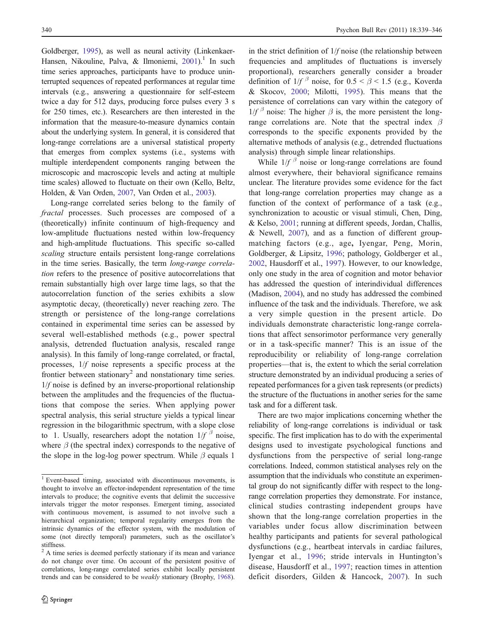Goldberger, [1995](#page-7-0)), as well as neural activity (Linkenkaer-Hansen, Nikouline, Palva, & Ilmoniemi,  $2001$ <sup>1</sup>. In such time series approaches, participants have to produce uninterrupted sequences of repeated performances at regular time intervals (e.g., answering a questionnaire for self-esteem twice a day for 512 days, producing force pulses every 3 s for 250 times, etc.). Researchers are then interested in the information that the measure-to-measure dynamics contain about the underlying system. In general, it is considered that long-range correlations are a universal statistical property that emerges from complex systems (i.e., systems with multiple interdependent components ranging between the microscopic and macroscopic levels and acting at multiple time scales) allowed to fluctuate on their own (Kello, Beltz, Holden, & Van Orden, [2007](#page-7-0), Van Orden et al., [2003\)](#page-7-0).

Long-range correlated series belong to the family of fractal processes. Such processes are composed of a (theoretically) infinite continuum of high-frequency and low-amplitude fluctuations nested within low-frequency and high-amplitude fluctuations. This specific so-called scaling structure entails persistent long-range correlations in the time series. Basically, the term long-range correlation refers to the presence of positive autocorrelations that remain substantially high over large time lags, so that the autocorrelation function of the series exhibits a slow asymptotic decay, (theoretically) never reaching zero. The strength or persistence of the long-range correlations contained in experimental time series can be assessed by several well-established methods (e.g., power spectral analysis, detrended fluctuation analysis, rescaled range analysis). In this family of long-range correlated, or fractal, processes, 1/f noise represents a specific process at the frontier between stationary<sup>2</sup> and nonstationary time series.  $1/f$  noise is defined by an inverse-proportional relationship between the amplitudes and the frequencies of the fluctuations that compose the series. When applying power spectral analysis, this serial structure yields a typical linear regression in the bilogarithmic spectrum, with a slope close to 1. Usually, researchers adopt the notation  $1/f^{\beta}$  noise, where  $\beta$  (the spectral index) corresponds to the negative of the slope in the log-log power spectrum. While  $\beta$  equals 1

in the strict definition of  $1/f$  noise (the relationship between frequencies and amplitudes of fluctuations is inversely proportional), researchers generally consider a broader definition of  $1/f^{\beta}$  noise, for  $0.5 \le \beta \le 1.5$  (e.g., Koverda & Skocov, [2000](#page-7-0); Milotti, [1995\)](#page-7-0). This means that the persistence of correlations can vary within the category of  $1/f^{\beta}$  noise: The higher  $\beta$  is, the more persistent the longrange correlations are. Note that the spectral index  $\beta$ corresponds to the specific exponents provided by the alternative methods of analysis (e.g., detrended fluctuations analysis) through simple linear relationships.

While  $1/f^{\beta}$  noise or long-range correlations are found almost everywhere, their behavioral significance remains unclear. The literature provides some evidence for the fact that long-range correlation properties may change as a function of the context of performance of a task (e.g., synchronization to acoustic or visual stimuli, Chen, Ding, & Kelso, [2001;](#page-6-0) running at different speeds, Jordan, Challis, & Newell, [2007\)](#page-7-0), and as a function of different groupmatching factors (e.g., age, Iyengar, Peng, Morin, Goldberger, & Lipsitz, [1996;](#page-7-0) pathology, Goldberger et al., [2002](#page-6-0), Hausdorff et al., [1997](#page-6-0)). However, to our knowledge, only one study in the area of cognition and motor behavior has addressed the question of interindividual differences (Madison, [2004](#page-7-0)), and no study has addressed the combined influence of the task and the individuals. Therefore, we ask a very simple question in the present article. Do individuals demonstrate characteristic long-range correlations that affect sensorimotor performance very generally or in a task-specific manner? This is an issue of the reproducibility or reliability of long-range correlation properties—that is, the extent to which the serial correlation structure demonstrated by an individual producing a series of repeated performances for a given task represents (or predicts) the structure of the fluctuations in another series for the same task and for a different task.

There are two major implications concerning whether the reliability of long-range correlations is individual or task specific. The first implication has to do with the experimental designs used to investigate psychological functions and dysfunctions from the perspective of serial long-range correlations. Indeed, common statistical analyses rely on the assumption that the individuals who constitute an experimental group do not significantly differ with respect to the longrange correlation properties they demonstrate. For instance, clinical studies contrasting independent groups have shown that the long-range correlation properties in the variables under focus allow discrimination between healthy participants and patients for several pathological dysfunctions (e.g., heartbeat intervals in cardiac failures, Iyengar et al., [1996](#page-7-0); stride intervals in Huntington's disease, Hausdorff et al., [1997](#page-6-0); reaction times in attention deficit disorders, Gilden & Hancock, [2007\)](#page-6-0). In such

<sup>&</sup>lt;sup>1</sup> Event-based timing, associated with discontinuous movements, is thought to involve an effector-independent representation of the time intervals to produce; the cognitive events that delimit the successive intervals trigger the motor responses. Emergent timing, associated with continuous movement, is assumed to not involve such a hierarchical organization; temporal regularity emerges from the intrinsic dynamics of the effector system, with the modulation of some (not directly temporal) parameters, such as the oscillator's stiffness.

 $2A$  time series is deemed perfectly stationary if its mean and variance do not change over time. On account of the persistent positive of correlations, long-range correlated series exhibit locally persistent trends and can be considered to be weakly stationary (Brophy, [1968](#page-6-0)).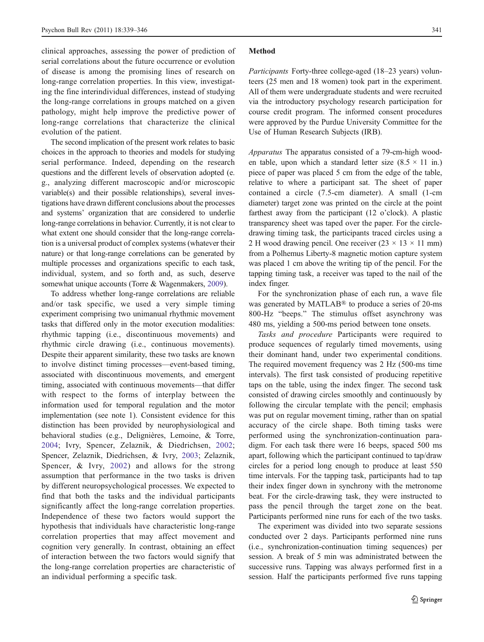clinical approaches, assessing the power of prediction of serial correlations about the future occurrence or evolution of disease is among the promising lines of research on long-range correlation properties. In this view, investigating the fine interindividual differences, instead of studying the long-range correlations in groups matched on a given pathology, might help improve the predictive power of long-range correlations that characterize the clinical evolution of the patient.

The second implication of the present work relates to basic choices in the approach to theories and models for studying serial performance. Indeed, depending on the research questions and the different levels of observation adopted (e. g., analyzing different macroscopic and/or microscopic variable(s) and their possible relationships), several investigations have drawn different conclusions about the processes and systems' organization that are considered to underlie long-range correlations in behavior. Currently, it is not clear to what extent one should consider that the long-range correlation is a universal product of complex systems (whatever their nature) or that long-range correlations can be generated by multiple processes and organizations specific to each task, individual, system, and so forth and, as such, deserve somewhat unique accounts (Torre & Wagenmakers, [2009\)](#page-7-0).

To address whether long-range correlations are reliable and/or task specific, we used a very simple timing experiment comprising two unimanual rhythmic movement tasks that differed only in the motor execution modalities: rhythmic tapping (i.e., discontinuous movements) and rhythmic circle drawing (i.e., continuous movements). Despite their apparent similarity, these two tasks are known to involve distinct timing processes—event-based timing, associated with discontinuous movements, and emergent timing, associated with continuous movements—that differ with respect to the forms of interplay between the information used for temporal regulation and the motor implementation (see note 1). Consistent evidence for this distinction has been provided by neurophysiological and behavioral studies (e.g., Delignières, Lemoine, & Torre, [2004;](#page-6-0) Ivry, Spencer, Zelaznik, & Diedrichsen, [2002](#page-6-0); Spencer, Zelaznik, Diedrichsen, & Ivry, [2003](#page-7-0); Zelaznik, Spencer, & Ivry, [2002](#page-7-0)) and allows for the strong assumption that performance in the two tasks is driven by different neuropsychological processes. We expected to find that both the tasks and the individual participants significantly affect the long-range correlation properties. Independence of these two factors would support the hypothesis that individuals have characteristic long-range correlation properties that may affect movement and cognition very generally. In contrast, obtaining an effect of interaction between the two factors would signify that the long-range correlation properties are characteristic of an individual performing a specific task.

### Method

Participants Forty-three college-aged (18–23 years) volunteers (25 men and 18 women) took part in the experiment. All of them were undergraduate students and were recruited via the introductory psychology research participation for course credit program. The informed consent procedures were approved by the Purdue University Committee for the Use of Human Research Subjects (IRB).

Apparatus The apparatus consisted of a 79-cm-high wooden table, upon which a standard letter size  $(8.5 \times 11)$  in.) piece of paper was placed 5 cm from the edge of the table, relative to where a participant sat. The sheet of paper contained a circle (7.5-cm diameter). A small (1-cm diameter) target zone was printed on the circle at the point farthest away from the participant (12 o'clock). A plastic transparency sheet was taped over the paper. For the circledrawing timing task, the participants traced circles using a 2 H wood drawing pencil. One receiver  $(23 \times 13 \times 11 \text{ mm})$ from a Polhemus Liberty-8 magnetic motion capture system was placed 1 cm above the writing tip of the pencil. For the tapping timing task, a receiver was taped to the nail of the index finger.

For the synchronization phase of each run, a wave file was generated by MATLAB® to produce a series of 20-ms 800-Hz "beeps." The stimulus offset asynchrony was 480 ms, yielding a 500-ms period between tone onsets.

Tasks and procedure Participants were required to produce sequences of regularly timed movements, using their dominant hand, under two experimental conditions. The required movement frequency was 2 Hz (500-ms time intervals). The first task consisted of producing repetitive taps on the table, using the index finger. The second task consisted of drawing circles smoothly and continuously by following the circular template with the pencil; emphasis was put on regular movement timing, rather than on spatial accuracy of the circle shape. Both timing tasks were performed using the synchronization-continuation paradigm. For each task there were 16 beeps, spaced 500 ms apart, following which the participant continued to tap/draw circles for a period long enough to produce at least 550 time intervals. For the tapping task, participants had to tap their index finger down in synchrony with the metronome beat. For the circle-drawing task, they were instructed to pass the pencil through the target zone on the beat. Participants performed nine runs for each of the two tasks.

The experiment was divided into two separate sessions conducted over 2 days. Participants performed nine runs (i.e., synchronization-continuation timing sequences) per session. A break of 5 min was administrated between the successive runs. Tapping was always performed first in a session. Half the participants performed five runs tapping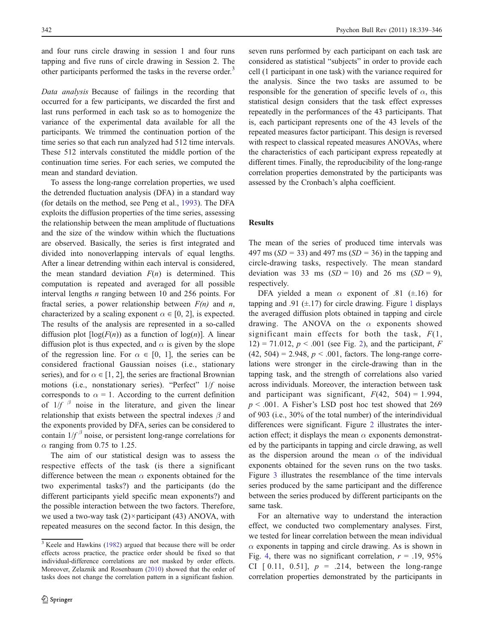and four runs circle drawing in session 1 and four runs tapping and five runs of circle drawing in Session 2. The other participants performed the tasks in the reverse order.<sup>3</sup>

Data analysis Because of failings in the recording that occurred for a few participants, we discarded the first and last runs performed in each task so as to homogenize the variance of the experimental data available for all the participants. We trimmed the continuation portion of the time series so that each run analyzed had 512 time intervals. These 512 intervals constituted the middle portion of the continuation time series. For each series, we computed the mean and standard deviation.

To assess the long-range correlation properties, we used the detrended fluctuation analysis (DFA) in a standard way (for details on the method, see Peng et al., [1993](#page-7-0)). The DFA exploits the diffusion properties of the time series, assessing the relationship between the mean amplitude of fluctuations and the size of the window within which the fluctuations are observed. Basically, the series is first integrated and divided into nonoverlapping intervals of equal lengths. After a linear detrending within each interval is considered, the mean standard deviation  $F(n)$  is determined. This computation is repeated and averaged for all possible interval lengths n ranging between 10 and 256 points. For fractal series, a power relationship between  $F(n)$  and n, characterized by a scaling exponent  $\alpha \in [0, 2]$ , is expected. The results of the analysis are represented in a so-called diffusion plot  $\lceil \log(F(n)) \rceil$  as a function of  $\log(n)$ . A linear diffusion plot is thus expected, and  $\alpha$  is given by the slope of the regression line. For  $\alpha \in [0, 1]$ , the series can be considered fractional Gaussian noises (i.e., stationary series), and for  $\alpha \in [1, 2]$ , the series are fractional Brownian motions (i.e., nonstationary series). "Perfect" 1/f noise corresponds to  $\alpha = 1$ . According to the current definition of  $1/f$  β noise in the literature, and given the linear relationship that exists between the spectral indexes  $\beta$  and the exponents provided by DFA, series can be considered to contain  $1/f^{\beta}$  noise, or persistent long-range correlations for  $\alpha$  ranging from 0.75 to 1.25.

The aim of our statistical design was to assess the respective effects of the task (is there a significant difference between the mean  $\alpha$  exponents obtained for the two experimental tasks?) and the participants (do the different participants yield specific mean exponents?) and the possible interaction between the two factors. Therefore, we used a two-way task  $(2)$  × participant (43) ANOVA, with repeated measures on the second factor. In this design, the seven runs performed by each participant on each task are considered as statistical "subjects" in order to provide each cell (1 participant in one task) with the variance required for the analysis. Since the two tasks are assumed to be responsible for the generation of specific levels of  $\alpha$ , this statistical design considers that the task effect expresses repeatedly in the performances of the 43 participants. That is, each participant represents one of the 43 levels of the repeated measures factor participant. This design is reversed with respect to classical repeated measures ANOVAs, where the characteristics of each participant express repeatedly at different times. Finally, the reproducibility of the long-range correlation properties demonstrated by the participants was assessed by the Cronbach's alpha coefficient.

## Results

The mean of the series of produced time intervals was 497 ms  $(SD = 33)$  and 497 ms  $(SD = 36)$  in the tapping and circle-drawing tasks, respectively. The mean standard deviation was 33 ms  $(SD = 10)$  and 26 ms  $(SD = 9)$ , respectively.

DFA yielded a mean  $\alpha$  exponent of .81 ( $\pm$ .16) for tapping and .9[1](#page-4-0) ( $\pm$ .17) for circle drawing. Figure 1 displays the averaged diffusion plots obtained in tapping and circle drawing. The ANOVA on the  $\alpha$  exponents showed significant main effects for both the task,  $F(1,$  $12$  $12$ ) = 71.012,  $p < .001$  (see Fig. 2), and the participant, F  $(42, 504) = 2.948$ ,  $p < .001$ , factors. The long-range correlations were stronger in the circle-drawing than in the tapping task, and the strength of correlations also varied across individuals. Moreover, the interaction between task and participant was significant,  $F(42, 504) = 1.994$ ,  $p < .001$ . A Fisher's LSD post hoc test showed that 269 of 903 (i.e., 30% of the total number) of the interindividual differences were significant. Figure [2](#page-4-0) illustrates the interaction effect; it displays the mean  $\alpha$  exponents demonstrated by the participants in tapping and circle drawing, as well as the dispersion around the mean  $\alpha$  of the individual exponents obtained for the seven runs on the two tasks. Figure [3](#page-5-0) illustrates the resemblance of the time intervals series produced by the same participant and the difference between the series produced by different participants on the same task.

For an alternative way to understand the interaction effect, we conducted two complementary analyses. First, we tested for linear correlation between the mean individual  $\alpha$  exponents in tapping and circle drawing. As is shown in Fig. [4,](#page-5-0) there was no significant correlation,  $r = .19, 95\%$ CI  $[0.11, 0.51]$ ,  $p = .214$ , between the long-range correlation properties demonstrated by the participants in

<sup>3</sup> Keele and Hawkins [\(1982](#page-7-0)) argued that because there will be order effects across practice, the practice order should be fixed so that individual-difference correlations are not masked by order effects. Moreover, Zelaznik and Rosenbaum ([2010\)](#page-7-0) showed that the order of tasks does not change the correlation pattern in a significant fashion.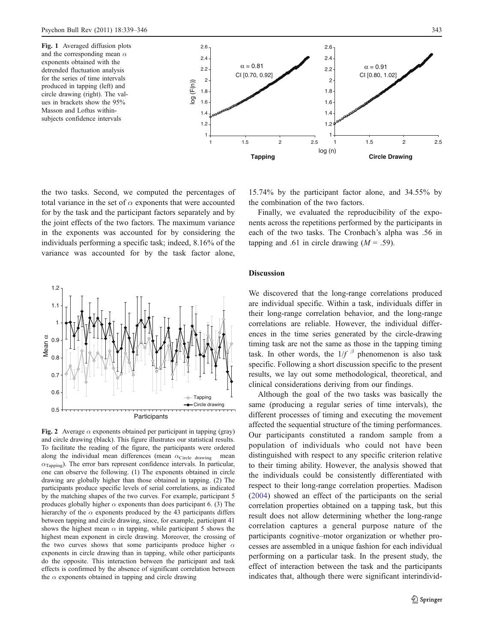<span id="page-4-0"></span>

the two tasks. Second, we computed the percentages of total variance in the set of  $\alpha$  exponents that were accounted for by the task and the participant factors separately and by the joint effects of the two factors. The maximum variance in the exponents was accounted for by considering the individuals performing a specific task; indeed, 8.16% of the variance was accounted for by the task factor alone,



Fig. 2 Average  $\alpha$  exponents obtained per participant in tapping (gray) and circle drawing (black). This figure illustrates our statistical results. To facilitate the reading of the figure, the participants were ordered along the individual mean differences (mean  $\alpha$ <sub>Circle drawing</sub> mean  $\alpha_{\text{Tapping}}$ ). The error bars represent confidence intervals. In particular, one can observe the following. (1) The exponents obtained in circle drawing are globally higher than those obtained in tapping. (2) The participants produce specific levels of serial correlations, as indicated by the matching shapes of the two curves. For example, participant 5 produces globally higher  $\alpha$  exponents than does participant 6. (3) The hierarchy of the  $\alpha$  exponents produced by the 43 participants differs between tapping and circle drawing, since, for example, participant 41 shows the highest mean  $\alpha$  in tapping, while participant 5 shows the highest mean exponent in circle drawing. Moreover, the crossing of the two curves shows that some participants produce higher  $\alpha$ exponents in circle drawing than in tapping, while other participants do the opposite. This interaction between the participant and task effects is confirmed by the absence of significant correlation between the  $\alpha$  exponents obtained in tapping and circle drawing

15.74% by the participant factor alone, and 34.55% by the combination of the two factors.

Finally, we evaluated the reproducibility of the exponents across the repetitions performed by the participants in each of the two tasks. The Cronbach's alpha was .56 in tapping and .61 in circle drawing  $(M = .59)$ .

## **Discussion**

We discovered that the long-range correlations produced are individual specific. Within a task, individuals differ in their long-range correlation behavior, and the long-range correlations are reliable. However, the individual differences in the time series generated by the circle-drawing timing task are not the same as those in the tapping timing task. In other words, the  $1/f$ <sup>β</sup> phenomenon is also task specific. Following a short discussion specific to the present results, we lay out some methodological, theoretical, and clinical considerations deriving from our findings.

Although the goal of the two tasks was basically the same (producing a regular series of time intervals), the different processes of timing and executing the movement affected the sequential structure of the timing performances. Our participants constituted a random sample from a population of individuals who could not have been distinguished with respect to any specific criterion relative to their timing ability. However, the analysis showed that the individuals could be consistently differentiated with respect to their long-range correlation properties. Madison [\(2004](#page-7-0)) showed an effect of the participants on the serial correlation properties obtained on a tapping task, but this result does not allow determining whether the long-range correlation captures a general purpose nature of the participants cognitive–motor organization or whether processes are assembled in a unique fashion for each individual performing on a particular task. In the present study, the effect of interaction between the task and the participants indicates that, although there were significant interindivid-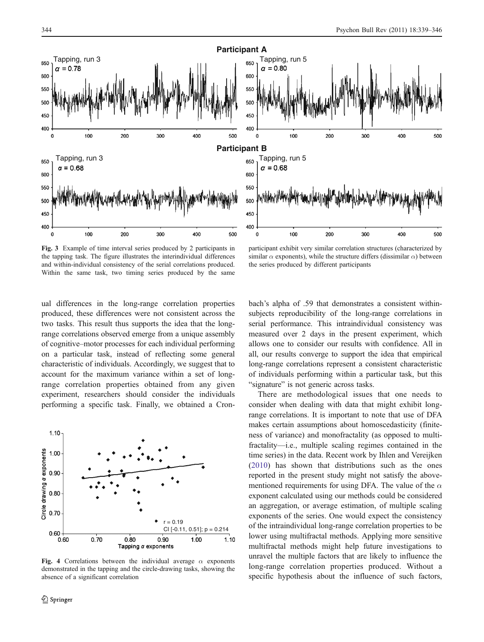<span id="page-5-0"></span>



Fig. 3 Example of time interval series produced by 2 participants in the tapping task. The figure illustrates the interindividual differences and within-individual consistency of the serial correlations produced. Within the same task, two timing series produced by the same

participant exhibit very similar correlation structures (characterized by similar  $\alpha$  exponents), while the structure differs (dissimilar  $\alpha$ ) between the series produced by different participants

ual differences in the long-range correlation properties produced, these differences were not consistent across the two tasks. This result thus supports the idea that the longrange correlations observed emerge from a unique assembly of cognitive–motor processes for each individual performing on a particular task, instead of reflecting some general characteristic of individuals. Accordingly, we suggest that to account for the maximum variance within a set of longrange correlation properties obtained from any given experiment, researchers should consider the individuals performing a specific task. Finally, we obtained a Cron-



Fig. 4 Correlations between the individual average  $\alpha$  exponents demonstrated in the tapping and the circle-drawing tasks, showing the absence of a significant correlation

bach's alpha of .59 that demonstrates a consistent withinsubjects reproducibility of the long-range correlations in serial performance. This intraindividual consistency was measured over 2 days in the present experiment, which allows one to consider our results with confidence. All in all, our results converge to support the idea that empirical long-range correlations represent a consistent characteristic of individuals performing within a particular task, but this "signature" is not generic across tasks.

There are methodological issues that one needs to consider when dealing with data that might exhibit longrange correlations. It is important to note that use of DFA makes certain assumptions about homoscedasticity (finiteness of variance) and monofractality (as opposed to multifractality—i.e., multiple scaling regimes contained in the time series) in the data. Recent work by Ihlen and Vereijken [\(2010](#page-6-0)) has shown that distributions such as the ones reported in the present study might not satisfy the abovementioned requirements for using DFA. The value of the  $\alpha$ exponent calculated using our methods could be considered an aggregation, or average estimation, of multiple scaling exponents of the series. One would expect the consistency of the intraindividual long-range correlation properties to be lower using multifractal methods. Applying more sensitive multifractal methods might help future investigations to unravel the multiple factors that are likely to influence the long-range correlation properties produced. Without a specific hypothesis about the influence of such factors,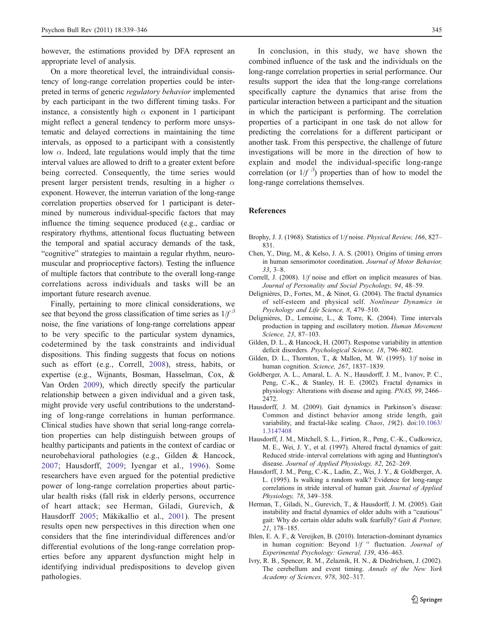<span id="page-6-0"></span>however, the estimations provided by DFA represent an appropriate level of analysis.

On a more theoretical level, the intraindividual consistency of long-range correlation properties could be interpreted in terms of generic regulatory behavior implemented by each participant in the two different timing tasks. For instance, a consistently high  $\alpha$  exponent in 1 participant might reflect a general tendency to perform more unsystematic and delayed corrections in maintaining the time intervals, as opposed to a participant with a consistently low  $\alpha$ . Indeed, late regulations would imply that the time interval values are allowed to drift to a greater extent before being corrected. Consequently, the time series would present larger persistent trends, resulting in a higher  $\alpha$ exponent. However, the interrun variation of the long-range correlation properties observed for 1 participant is determined by numerous individual-specific factors that may influence the timing sequence produced (e.g., cardiac or respiratory rhythms, attentional focus fluctuating between the temporal and spatial accuracy demands of the task, "cognitive" strategies to maintain a regular rhythm, neuromuscular and proprioceptive factors). Testing the influence of multiple factors that contribute to the overall long-range correlations across individuals and tasks will be an important future research avenue.

Finally, pertaining to more clinical considerations, we see that beyond the gross classification of time series as  $1/f^{\beta}$ noise, the fine variations of long-range correlations appear to be very specific to the particular system dynamics, codetermined by the task constraints and individual dispositions. This finding suggests that focus on notions such as effort (e.g., Correll, 2008), stress, habits, or expertise (e.g., Wijnants, Bosman, Hasselman, Cox, & Van Orden [2009\)](#page-7-0), which directly specify the particular relationship between a given individual and a given task, might provide very useful contributions to the understanding of long-range correlations in human performance. Clinical studies have shown that serial long-range correlation properties can help distinguish between groups of healthy participants and patients in the context of cardiac or neurobehavioral pathologies (e.g., Gilden & Hancock, 2007; Hausdorff, 2009; Iyengar et al., [1996](#page-7-0)). Some researchers have even argued for the potential predictive power of long-range correlation properties about particular health risks (fall risk in elderly persons, occurrence of heart attack; see Herman, Giladi, Gurevich, & Hausdorff 2005; Mäkikallio et al., [2001\)](#page-7-0). The present results open new perspectives in this direction when one considers that the fine interindividual differences and/or differential evolutions of the long-range correlation properties before any apparent dysfunction might help in identifying individual predispositions to develop given pathologies.

In conclusion, in this study, we have shown the combined influence of the task and the individuals on the long-range correlation properties in serial performance. Our results support the idea that the long-range correlations specifically capture the dynamics that arise from the particular interaction between a participant and the situation in which the participant is performing. The correlation properties of a participant in one task do not allow for predicting the correlations for a different participant or another task. From this perspective, the challenge of future investigations will be more in the direction of how to explain and model the individual-specific long-range correlation (or  $1/f$ <sup>β</sup>) properties than of how to model the long-range correlations themselves.

### References

- Brophy, J. J. (1968). Statistics of 1/f noise. Physical Review, 166, 827– 831.
- Chen, Y., Ding, M., & Kelso, J. A. S. (2001). Origins of timing errors in human sensorimotor coordination. Journal of Motor Behavior, 33, 3–8.
- Correll, J. (2008). 1/f noise and effort on implicit measures of bias. Journal of Personality and Social Psychology, 94, 48–59.
- Delignières, D., Fortes, M., & Ninot, G. (2004). The fractal dynamics of self-esteem and physical self. Nonlinear Dynamics in Psychology and Life Science, 8, 479–510.
- Delignières, D., Lemoine, L., & Torre, K. (2004). Time intervals production in tapping and oscillatory motion. Human Movement Science, 23, 87–103.
- Gilden, D. L., & Hancock, H. (2007). Response variability in attention deficit disorders. Psychological Science, 18, 796–802.
- Gilden, D. L., Thornton, T., & Mallon, M. W. (1995). 1/f noise in human cognition. Science, 267, 1837-1839.
- Goldberger, A. L., Amaral, L. A. N., Hausdorff, J. M., Ivanov, P. C., Peng, C.-K., & Stanley, H. E. (2002). Fractal dynamics in physiology: Alterations with disease and aging. PNAS, 99, 2466– 2472.
- Hausdorff, J. M. (2009). Gait dynamics in Parkinson's disease: Common and distinct behavior among stride length, gait variability, and fractal-like scaling. Chaos, 19(2). doi[:10.1063/](http://dx.doi.org/10.1063/1.3147408) [1.3147408](http://dx.doi.org/10.1063/1.3147408)
- Hausdorff, J. M., Mitchell, S. L., Firtion, R., Peng, C.-K., Cudkowicz, M. E., Wei, J. Y., et al. (1997). Altered fractal dynamics of gait: Reduced stride–interval correlations with aging and Huntington's disease. Journal of Applied Physiology, 82, 262–269.
- Hausdorff, J. M., Peng, C.-K., Ladin, Z., Wei, J. Y., & Goldberger, A. L. (1995). Is walking a random walk? Evidence for long-range correlations in stride interval of human gait. Journal of Applied Physiology, 78, 349–358.
- Herman, T., Giladi, N., Gurevich, T., & Hausdorff, J. M. (2005). Gait instability and fractal dynamics of older adults with a "cautious" gait: Why do certain older adults walk fearfully? Gait & Posture, 21, 178–185.
- Ihlen, E. A. F., & Vereijken, B. (2010). Interaction-dominant dynamics in human cognition: Beyond  $1/f$   $\alpha$  fluctuation. Journal of Experimental Psychology: General, 139, 436–463.
- Ivry, R. B., Spencer, R. M., Zelaznik, H. N., & Diedrichsen, J. (2002). The cerebellum and event timing. Annals of the New York Academy of Sciences, 978, 302–317.